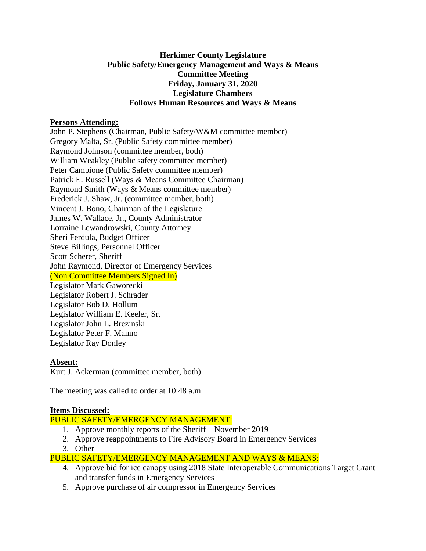### **Herkimer County Legislature Public Safety/Emergency Management and Ways & Means Committee Meeting Friday, January 31, 2020 Legislature Chambers Follows Human Resources and Ways & Means**

### **Persons Attending:**

John P. Stephens (Chairman, Public Safety/W&M committee member) Gregory Malta, Sr. (Public Safety committee member) Raymond Johnson (committee member, both) William Weakley (Public safety committee member) Peter Campione (Public Safety committee member) Patrick E. Russell (Ways & Means Committee Chairman) Raymond Smith (Ways & Means committee member) Frederick J. Shaw, Jr. (committee member, both) Vincent J. Bono, Chairman of the Legislature James W. Wallace, Jr., County Administrator Lorraine Lewandrowski, County Attorney Sheri Ferdula, Budget Officer Steve Billings, Personnel Officer Scott Scherer, Sheriff John Raymond, Director of Emergency Services (Non Committee Members Signed In) Legislator Mark Gaworecki Legislator Robert J. Schrader Legislator Bob D. Hollum Legislator William E. Keeler, Sr. Legislator John L. Brezinski Legislator Peter F. Manno Legislator Ray Donley

#### **Absent:**

Kurt J. Ackerman (committee member, both)

The meeting was called to order at 10:48 a.m.

#### **Items Discussed:**

## PUBLIC SAFETY/EMERGENCY MANAGEMENT:

- 1. Approve monthly reports of the Sheriff November 2019
- 2. Approve reappointments to Fire Advisory Board in Emergency Services
- 3. Other

## PUBLIC SAFETY/EMERGENCY MANAGEMENT AND WAYS & MEANS:

- 4. Approve bid for ice canopy using 2018 State Interoperable Communications Target Grant and transfer funds in Emergency Services
- 5. Approve purchase of air compressor in Emergency Services